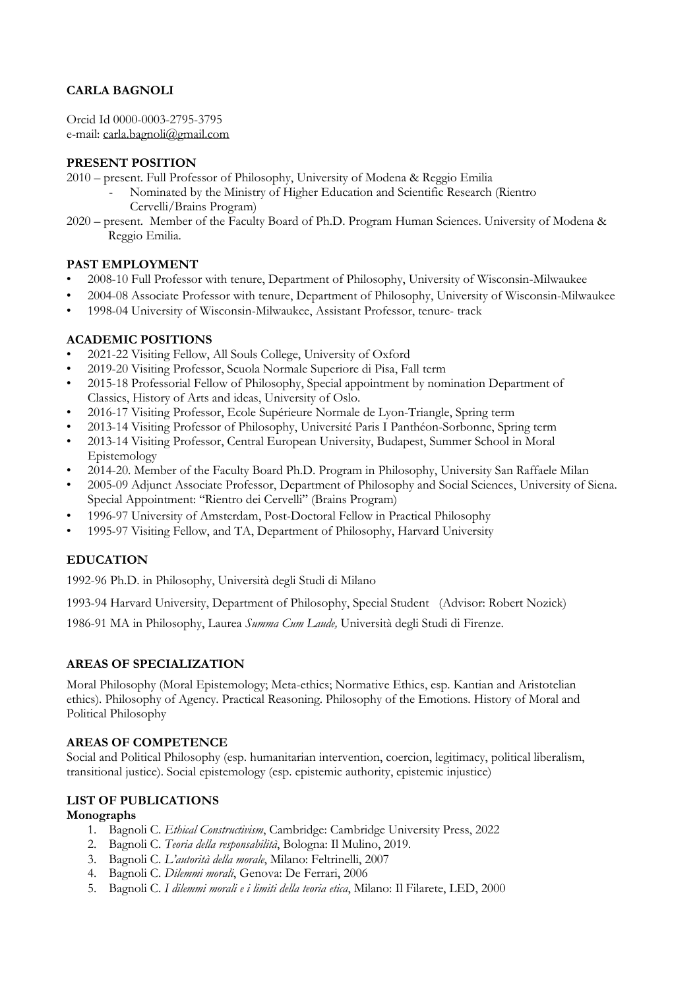# **CARLA BAGNOLI**

Orcid Id 0000-0003-2795-3795 e-mail: carla.bagnoli@gmail.com

#### **PRESENT POSITION**

- 2010 present. Full Professor of Philosophy, University of Modena & Reggio Emilia
	- Nominated by the Ministry of Higher Education and Scientific Research (Rientro Cervelli/Brains Program)
- 2020 present. Member of the Faculty Board of Ph.D. Program Human Sciences. University of Modena & Reggio Emilia.

### **PAST EMPLOYMENT**

- 2008-10 Full Professor with tenure, Department of Philosophy, University of Wisconsin-Milwaukee
- 2004-08 Associate Professor with tenure, Department of Philosophy, University of Wisconsin-Milwaukee
- 1998-04 University of Wisconsin-Milwaukee, Assistant Professor, tenure- track

### **ACADEMIC POSITIONS**

- 2021-22 Visiting Fellow, All Souls College, University of Oxford
- 2019-20 Visiting Professor, Scuola Normale Superiore di Pisa, Fall term
- 2015-18 Professorial Fellow of Philosophy, Special appointment by nomination Department of Classics, History of Arts and ideas, University of Oslo.
- 2016-17 Visiting Professor, Ecole Supérieure Normale de Lyon-Triangle, Spring term
- 2013-14 Visiting Professor of Philosophy, Université Paris I Panthéon-Sorbonne, Spring term
- 2013-14 Visiting Professor, Central European University, Budapest, Summer School in Moral Epistemology
- 2014-20. Member of the Faculty Board Ph.D. Program in Philosophy, University San Raffaele Milan
- 2005-09 Adjunct Associate Professor, Department of Philosophy and Social Sciences, University of Siena. Special Appointment: "Rientro dei Cervelli" (Brains Program)
- 1996-97 University of Amsterdam, Post-Doctoral Fellow in Practical Philosophy
- 1995-97 Visiting Fellow, and TA, Department of Philosophy, Harvard University

## **EDUCATION**

1992-96 Ph.D. in Philosophy, Università degli Studi di Milano

1993-94 Harvard University, Department of Philosophy, Special Student (Advisor: Robert Nozick)

1986-91 MA in Philosophy, Laurea *Summa Cum Laude,* Università degli Studi di Firenze.

#### **AREAS OF SPECIALIZATION**

Moral Philosophy (Moral Epistemology; Meta-ethics; Normative Ethics, esp. Kantian and Aristotelian ethics). Philosophy of Agency. Practical Reasoning. Philosophy of the Emotions. History of Moral and Political Philosophy

#### **AREAS OF COMPETENCE**

Social and Political Philosophy (esp. humanitarian intervention, coercion, legitimacy, political liberalism, transitional justice). Social epistemology (esp. epistemic authority, epistemic injustice)

#### **LIST OF PUBLICATIONS**

#### **Monographs**

- 1. Bagnoli C. *Ethical Constructivism*, Cambridge: Cambridge University Press, 2022
- 2. Bagnoli C. *Teoria della responsabilità*, Bologna: Il Mulino, 2019.
- 3. Bagnoli C. *L'autorità della morale*, Milano: Feltrinelli, 2007
- 4. Bagnoli C. *Dilemmi morali*, Genova: De Ferrari, 2006
- 5. Bagnoli C. *I dilemmi morali e i limiti della teoria etica*, Milano: Il Filarete, LED, 2000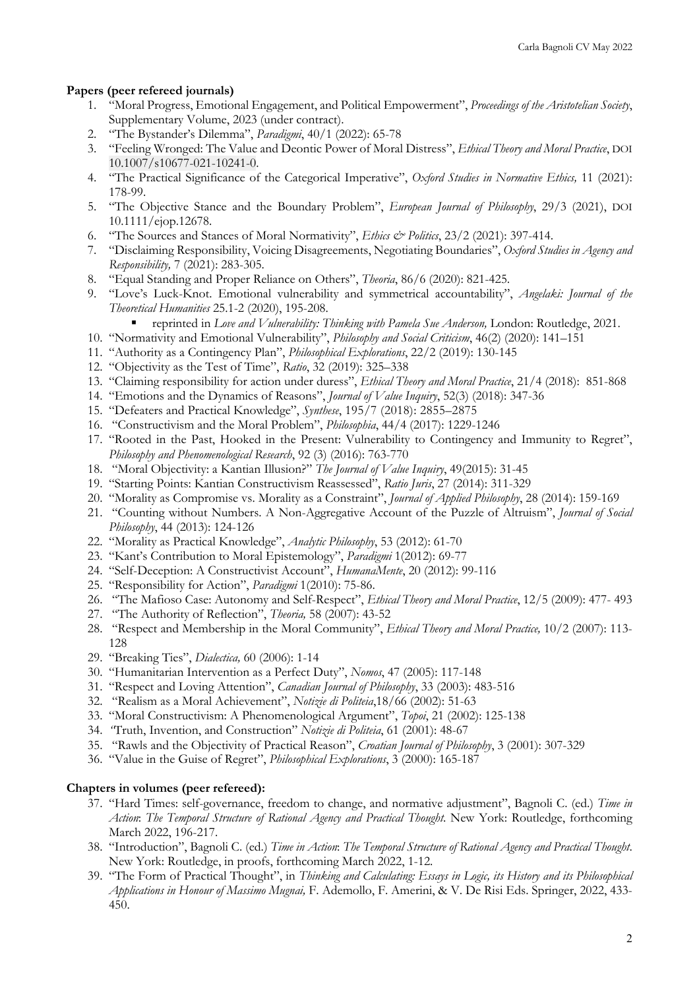#### **Papers (peer refereed journals)**

- 1. "Moral Progress, Emotional Engagement, and Political Empowerment", *Proceedings of the Aristotelian Society*, Supplementary Volume, 2023 (under contract).
- 2. "The Bystander's Dilemma", *Paradigmi*, 40/1 (2022): 65-78
- 3. "Feeling Wronged: The Value and Deontic Power of Moral Distress", *Ethical Theory and Moral Practice*, DOI 10.1007/s10677-021-10241-0.
- 4. "The Practical Significance of the Categorical Imperative", *Oxford Studies in Normative Ethics,* 11 (2021): 178-99.
- 5. "The Objective Stance and the Boundary Problem", *European Journal of Philosophy*, 29/3 (2021), DOI 10.1111/ejop.12678.
- 6. "The Sources and Stances of Moral Normativity", *Ethics & Politics*, 23/2 (2021): 397-414.
- 7. "Disclaiming Responsibility, Voicing Disagreements, Negotiating Boundaries", *Oxford Studies in Agency and Responsibility,* 7 (2021): 283-305.
- 8. "Equal Standing and Proper Reliance on Others", *Theoria*, 86/6 (2020): 821-425.
- 9. "Love's Luck-Knot. Emotional vulnerability and symmetrical accountability", *Angelaki: Journal of the Theoretical Humanities* 25.1-2 (2020), 195-208.
	- § reprinted in *Love and Vulnerability: Thinking with Pamela Sue Anderson,* London: Routledge, 2021.
- 10. "Normativity and Emotional Vulnerability", *Philosophy and Social Criticism*, 46(2) (2020): 141–151
- 11. "Authority as a Contingency Plan", *Philosophical Explorations*, 22/2 (2019): 130-145
- 12. "Objectivity as the Test of Time", *Ratio*, 32 (2019): 325–338
- 13. "Claiming responsibility for action under duress", *Ethical Theory and Moral Practice*, 21/4 (2018): 851-868
- 14. "Emotions and the Dynamics of Reasons", *Journal of Value Inquiry*, 52(3) (2018): 347-36
- 15. "Defeaters and Practical Knowledge", *Synthese*, 195/7 (2018): 2855–2875
- 16. "Constructivism and the Moral Problem", *Philosophia*, 44/4 (2017): 1229-1246
- 17. "Rooted in the Past, Hooked in the Present: Vulnerability to Contingency and Immunity to Regret", *Philosophy and Phenomenological Research*, 92 (3) (2016): 763-770
- 18. "Moral Objectivity: a Kantian Illusion?" *The Journal of Value Inquiry*, 49(2015): 31-45
- 19. "Starting Points: Kantian Constructivism Reassessed", *Ratio Juris*, 27 (2014): 311-329
- 20. "Morality as Compromise vs. Morality as a Constraint", *Journal of Applied Philosophy*, 28 (2014): 159-169
- 21. "Counting without Numbers. A Non-Aggregative Account of the Puzzle of Altruism", *Journal of Social Philosophy*, 44 (2013): 124-126
- 22. "Morality as Practical Knowledge", *Analytic Philosophy*, 53 (2012): 61-70
- 23. "Kant's Contribution to Moral Epistemology", *Paradigmi* 1(2012): 69-77
- 24. "Self-Deception: A Constructivist Account", *HumanaMente*, 20 (2012): 99-116
- 25. "Responsibility for Action", *Paradigmi* 1(2010): 75-86.
- 26. "The Mafioso Case: Autonomy and Self-Respect", *Ethical Theory and Moral Practice*, 12/5 (2009): 477- 493
- 27. "The Authority of Reflection", *Theoria,* 58 (2007): 43-52
- 28. "Respect and Membership in the Moral Community", *Ethical Theory and Moral Practice,* 10/2 (2007): 113- 128
- 29. "Breaking Ties", *Dialectica,* 60 (2006): 1-14
- 30. "Humanitarian Intervention as a Perfect Duty", *Nomos*, 47 (2005): 117-148
- 31. "Respect and Loving Attention", *Canadian Journal of Philosophy*, 33 (2003): 483-516
- 32. "Realism as a Moral Achievement", *Notizie di Politeia*,18/66 (2002): 51-63
- 33. "Moral Constructivism: A Phenomenological Argument", *Topoi*, 21 (2002): 125-138
- 34. *"*Truth, Invention, and Construction" *Notizie di Politeia*, 61 (2001): 48-67
- 35. "Rawls and the Objectivity of Practical Reason", *Croatian Journal of Philosophy*, 3 (2001): 307-329
- 36. "Value in the Guise of Regret", *Philosophical Explorations*, 3 (2000): 165-187

#### **Chapters in volumes (peer refereed):**

- 37. "Hard Times: self-governance, freedom to change, and normative adjustment", Bagnoli C. (ed.) *Time in Action*: *The Temporal Structure of Rational Agency and Practical Thought*. New York: Routledge, forthcoming March 2022, 196-217.
- 38. "Introduction", Bagnoli C. (ed.) *Time in Action*: *The Temporal Structure of Rational Agency and Practical Thought*. New York: Routledge, in proofs, forthcoming March 2022, 1-12.
- 39. "The Form of Practical Thought", in *Thinking and Calculating: Essays in Logic, its History and its Philosophical Applications in Honour of Massimo Mugnai,* F. Ademollo, F. Amerini, & V. De Risi Eds. Springer, 2022, 433- 450.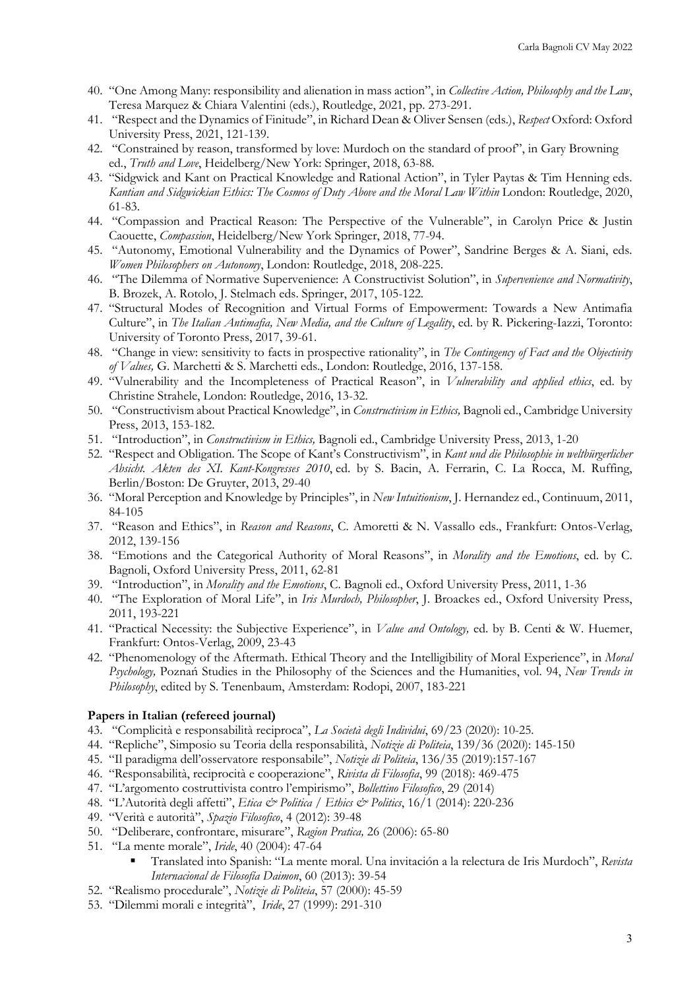- 40. "One Among Many: responsibility and alienation in mass action", in *Collective Action, Philosophy and the Law*, Teresa Marquez & Chiara Valentini (eds.), Routledge, 2021, pp. 273-291.
- 41. "Respect and the Dynamics of Finitude", in Richard Dean & Oliver Sensen (eds.), *Respect* Oxford: Oxford University Press, 2021, 121-139.
- 42. "Constrained by reason, transformed by love: Murdoch on the standard of proof", in Gary Browning ed., *Truth and Love*, Heidelberg/New York: Springer, 2018, 63-88.
- 43. "Sidgwick and Kant on Practical Knowledge and Rational Action", in Tyler Paytas & Tim Henning eds. *Kantian and Sidgwickian Ethics: The Cosmos of Duty Above and the Moral Law Within* London: Routledge, 2020, 61-83.
- 44. "Compassion and Practical Reason: The Perspective of the Vulnerable", in Carolyn Price & Justin Caouette, *Compassion*, Heidelberg/New York Springer, 2018, 77-94.
- 45. "Autonomy, Emotional Vulnerability and the Dynamics of Power", Sandrine Berges & A. Siani, eds. *Women Philosophers on Autonomy*, London: Routledge, 2018, 208-225.
- 46. "The Dilemma of Normative Supervenience: A Constructivist Solution", in *Supervenience and Normativity*, B. Brozek, A. Rotolo, J. Stelmach eds. Springer, 2017, 105-122.
- 47. "Structural Modes of Recognition and Virtual Forms of Empowerment: Towards a New Antimafia Culture", in *The Italian Antimafia, New Media, and the Culture of Legality*, ed. by R. Pickering-Iazzi, Toronto: University of Toronto Press, 2017, 39-61.
- 48. "Change in view: sensitivity to facts in prospective rationality", in *The Contingency of Fact and the Objectivity of Values,* G. Marchetti & S. Marchetti eds., London: Routledge, 2016, 137-158.
- 49. "Vulnerability and the Incompleteness of Practical Reason", in *Vulnerability and applied ethics*, ed. by Christine Strahele, London: Routledge, 2016, 13-32.
- 50. "Constructivism about Practical Knowledge", in *Constructivism in Ethics,* Bagnoli ed., Cambridge University Press, 2013, 153-182.
- 51. "Introduction", in *Constructivism in Ethics,* Bagnoli ed., Cambridge University Press, 2013, 1-20
- 52. "Respect and Obligation. The Scope of Kant's Constructivism", in *Kant und die Philosophie in weltbürgerlicher Absicht. Akten des XI. Kant-Kongresses 2010*, ed. by S. Bacin, A. Ferrarin, C. La Rocca, M. Ruffing, Berlin/Boston: De Gruyter, 2013, 29-40
- 36. "Moral Perception and Knowledge by Principles", in *New Intuitionism*, J. Hernandez ed., Continuum, 2011, 84-105
- 37. "Reason and Ethics", in *Reason and Reasons*, C. Amoretti & N. Vassallo eds., Frankfurt: Ontos-Verlag, 2012, 139-156
- 38. "Emotions and the Categorical Authority of Moral Reasons", in *Morality and the Emotions*, ed. by C. Bagnoli, Oxford University Press, 2011, 62-81
- 39. "Introduction", in *Morality and the Emotions*, C. Bagnoli ed., Oxford University Press, 2011, 1-36
- 40. "The Exploration of Moral Life", in *Iris Murdoch, Philosopher*, J. Broackes ed., Oxford University Press, 2011, 193-221
- 41. "Practical Necessity: the Subjective Experience", in *Value and Ontology,* ed. by B. Centi & W. Huemer, Frankfurt: Ontos-Verlag, 2009, 23-43
- 42. "Phenomenology of the Aftermath. Ethical Theory and the Intelligibility of Moral Experience", in *Moral Psychology,* Poznań Studies in the Philosophy of the Sciences and the Humanities, vol. 94, *New Trends in Philosophy*, edited by S. Tenenbaum, Amsterdam: Rodopi, 2007, 183-221

#### **Papers in Italian (refereed journal)**

- 43. "Complicità e responsabilità reciproca", *La Società degli Individui*, 69/23 (2020): 10-25.
- 44. "Repliche", Simposio su Teoria della responsabilità, *Notizie di Politeia*, 139/36 (2020): 145-150
- 45. "Il paradigma dell'osservatore responsabile", *Notizie di Politeia*, 136/35 (2019):157-167
- 46. "Responsabilità, reciprocità e cooperazione", *Rivista di Filosofia*, 99 (2018): 469-475
- 47. "L'argomento costruttivista contro l'empirismo", *Bollettino Filosofico*, 29 (2014)
- 48. "L'Autorità degli affetti", *Etica & Politica / Ethics & Politics*, 16/1 (2014): 220-236
- 49. "Verità e autorità", *Spazio Filosofico*, 4 (2012): 39-48
- 50. "Deliberare, confrontare, misurare", *Ragion Pratica,* 26 (2006): 65-80
- 51. "La mente morale", *Iride*, 40 (2004): 47-64
	- § Translated into Spanish: "La mente moral. Una invitación a la relectura de Iris Murdoch", *Revista Internacional de Filosofía Daimon*, 60 (2013): 39-54
- 52. "Realismo procedurale", *Notizie di Politeia*, 57 (2000): 45-59
- 53. "Dilemmi morali e integrità", *Iride*, 27 (1999): 291-310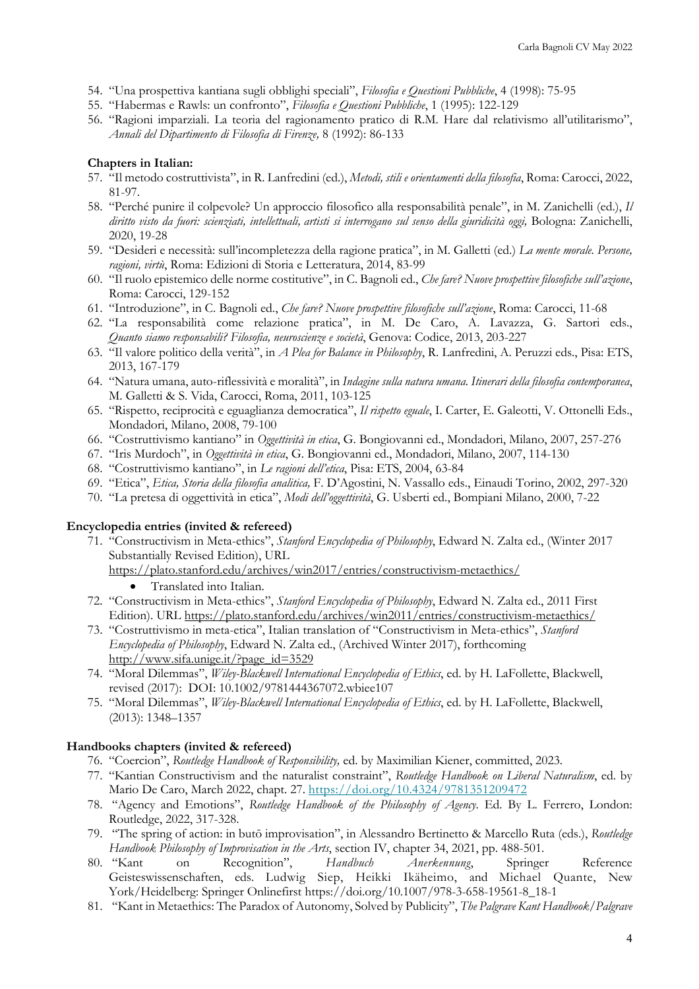- 54. "Una prospettiva kantiana sugli obblighi speciali", *Filosofia e Questioni Pubbliche*, 4 (1998): 75-95
- 55. "Habermas e Rawls: un confronto", *Filosofia e Questioni Pubbliche*, 1 (1995): 122-129
- 56. "Ragioni imparziali. La teoria del ragionamento pratico di R.M. Hare dal relativismo all'utilitarismo", *Annali del Dipartimento di Filosofia di Firenze,* 8 (1992): 86-133

#### **Chapters in Italian:**

- 57. "Il metodo costruttivista", in R. Lanfredini (ed.), *Metodi, stili e orientamenti della filosofia*, Roma: Carocci, 2022, 81-97.
- 58. "Perché punire il colpevole? Un approccio filosofico alla responsabilità penale", in M. Zanichelli (ed.), *Il diritto visto da fuori: scienziati, intellettuali, artisti si interrogano sul senso della giuridicità oggi,* Bologna: Zanichelli, 2020, 19-28
- 59. "Desideri e necessità: sull'incompletezza della ragione pratica", in M. Galletti (ed.) *La mente morale. Persone, ragioni, virtù*, Roma: Edizioni di Storia e Letteratura, 2014, 83-99
- 60. "Il ruolo epistemico delle norme costitutive", in C. Bagnoli ed., *Che fare? Nuove prospettive filosofiche sull'azione*, Roma: Carocci, 129-152
- 61. "Introduzione", in C. Bagnoli ed., *Che fare? Nuove prospettive filosofiche sull'azione*, Roma: Carocci, 11-68
- 62. "La responsabilità come relazione pratica", in M. De Caro, A. Lavazza, G. Sartori eds., *Quanto siamo responsabili? Filosofia, neuroscienze e società*, Genova: Codice, 2013, 203-227
- 63. "Il valore politico della verità", in *A Plea for Balance in Philosophy*, R. Lanfredini, A. Peruzzi eds., Pisa: ETS, 2013, 167-179
- 64. "Natura umana, auto-riflessività e moralità", in *Indagine sulla natura umana. Itinerari della filosofia contemporanea*, M. Galletti & S. Vida, Carocci, Roma, 2011, 103-125
- 65. "Rispetto, reciprocità e eguaglianza democratica", *Il rispetto eguale*, I. Carter, E. Galeotti, V. Ottonelli Eds., Mondadori, Milano, 2008, 79-100
- 66. "Costruttivismo kantiano" in *Oggettività in etica*, G. Bongiovanni ed., Mondadori, Milano, 2007, 257-276
- 67. "Iris Murdoch", in *Oggettività in etica*, G. Bongiovanni ed., Mondadori, Milano, 2007, 114-130
- 68. "Costruttivismo kantiano", in *Le ragioni dell'etica*, Pisa: ETS, 2004, 63-84
- 69. "Etica", *Etica, Storia della filosofia analitica,* F. D'Agostini, N. Vassallo eds., Einaudi Torino, 2002, 297-320
- 70. "La pretesa di oggettività in etica", *Modi dell'oggettività*, G. Usberti ed., Bompiani Milano, 2000, 7-22

#### **Encyclopedia entries (invited & refereed)**

- 71. "Constructivism in Meta-ethics", *Stanford Encyclopedia of Philosophy*, Edward N. Zalta ed., (Winter 2017 Substantially Revised Edition), URL
	- https://plato.stanford.edu/archives/win2017/entries/constructivism-metaethics/
		- Translated into Italian.
- 72. "Constructivism in Meta-ethics", *Stanford Encyclopedia of Philosophy*, Edward N. Zalta ed., 2011 First Edition). URL https://plato.stanford.edu/archives/win2011/entries/constructivism-metaethics/
- 73. "Costruttivismo in meta-etica", Italian translation of "Constructivism in Meta-ethics", *Stanford Encyclopedia of Philosophy*, Edward N. Zalta ed., (Archived Winter 2017), forthcoming http://www.sifa.unige.it/?page\_id=3529
- 74. "Moral Dilemmas", *Wiley-Blackwell International Encyclopedia of Ethics*, ed. by H. LaFollette, Blackwell, revised (2017): DOI: 10.1002/9781444367072.wbiee107
- 75. "Moral Dilemmas", *Wiley-Blackwell International Encyclopedia of Ethics*, ed. by H. LaFollette, Blackwell, (2013): 1348–1357

#### **Handbooks chapters (invited & refereed)**

- 76. "Coercion", *Routledge Handbook of Responsibility,* ed. by Maximilian Kiener, committed, 2023.
- 77. "Kantian Constructivism and the naturalist constraint", *Routledge Handbook on Liberal Naturalism*, ed. by Mario De Caro, March 2022, chapt. 27. https://doi.org/10.4324/9781351209472
- 78. "Agency and Emotions", *Routledge Handbook of the Philosophy of Agency*. Ed. By L. Ferrero, London: Routledge, 2022, 317-328.
- 79. "The spring of action: in butō improvisation", in Alessandro Bertinetto & Marcello Ruta (eds.), *Routledge Handbook Philosophy of Improvisation in the Arts*, section IV, chapter 34, 2021, pp. 488-501.
- 80. "Kant on Recognition", *Handbuch Anerkennung*, Springer Reference Geisteswissenschaften, eds. Ludwig Siep, Heikki Ikäheimo, and Michael Quante, New York/Heidelberg: Springer Onlinefirst https://doi.org/10.1007/978-3-658-19561-8\_18-1
- 81. "Kant in Metaethics: The Paradox of Autonomy, Solved by Publicity", *The Palgrave Kant Handbook/Palgrave*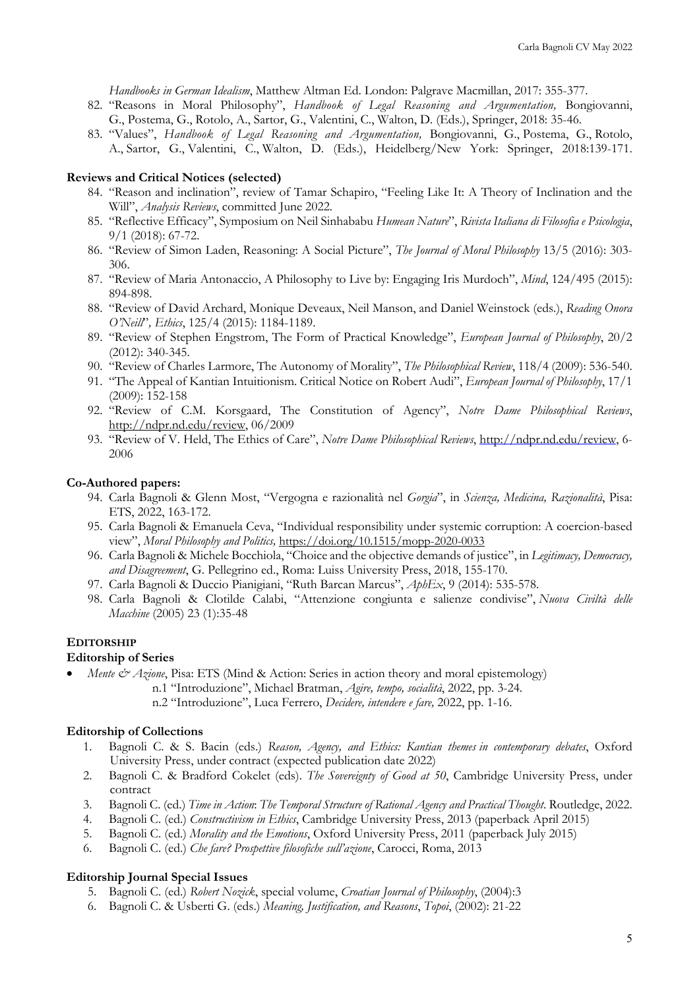*Handbooks in German Idealism*, Matthew Altman Ed. London: Palgrave Macmillan, 2017: 355-377.

- 82. "Reasons in Moral Philosophy", *Handbook of Legal Reasoning and Argumentation,* Bongiovanni, G., Postema, G., Rotolo, A., Sartor, G., Valentini, C., Walton, D. (Eds.), Springer, 2018: 35-46.
- 83. "Values", *Handbook of Legal Reasoning and Argumentation,* Bongiovanni, G., Postema, G., Rotolo, A., Sartor, G., Valentini, C., Walton, D. (Eds.), Heidelberg/New York: Springer, 2018:139-171.

#### **Reviews and Critical Notices (selected)**

- 84. "Reason and inclination", review of Tamar Schapiro, "Feeling Like It: A Theory of Inclination and the Will", *Analysis Reviews*, committed June 2022.
- 85. "Reflective Efficacy", Symposium on Neil Sinhababu *Humean Nature*", *Rivista Italiana di Filosofia e Psicologia*, 9/1 (2018): 67-72.
- 86. "Review of Simon Laden, Reasoning: A Social Picture", *The Journal of Moral Philosophy* 13/5 (2016): 303- 306.
- 87. "Review of Maria Antonaccio, A Philosophy to Live by: Engaging Iris Murdoch", *Mind*, 124/495 (2015): 894-898.
- 88. "Review of David Archard, Monique Deveaux, Neil Manson, and Daniel Weinstock (eds.), *Reading Onora O'Neill*"*, Ethics*, 125/4 (2015): 1184-1189.
- 89. "Review of Stephen Engstrom, The Form of Practical Knowledge", *European Journal of Philosophy*, 20/2 (2012): 340-345.
- 90. "Review of Charles Larmore, The Autonomy of Morality", *The Philosophical Review*, 118/4 (2009): 536-540.
- 91. "The Appeal of Kantian Intuitionism. Critical Notice on Robert Audi", *European Journal of Philosophy*, 17/1 (2009): 152-158
- 92. "Review of C.M. Korsgaard, The Constitution of Agency", *Notre Dame Philosophical Reviews*, http://ndpr.nd.edu/review, 06/2009
- 93. "Review of V. Held, The Ethics of Care", *Notre Dame Philosophical Reviews*, http://ndpr.nd.edu/review, 6- 2006

#### **Co-Authored papers:**

- 94. Carla Bagnoli & Glenn Most, "Vergogna e razionalità nel *Gorgia*", in *Scienza, Medicina, Razionalità*, Pisa: ETS, 2022, 163-172.
- 95. Carla Bagnoli & Emanuela Ceva, "Individual responsibility under systemic corruption: A coercion-based view", *Moral Philosophy and Politics,* https://doi.org/10.1515/mopp-2020-0033
- 96. Carla Bagnoli & Michele Bocchiola, "Choice and the objective demands of justice", in *Legitimacy, Democracy, and Disagreement*, G. Pellegrino ed., Roma: Luiss University Press, 2018, 155-170.
- 97. Carla Bagnoli & Duccio Pianigiani, "Ruth Barcan Marcus", *AphEx*, 9 (2014): 535-578.
- 98. Carla Bagnoli & Clotilde Calabi, "Attenzione congiunta e salienze condivise", *Nuova Civiltà delle Macchine* (2005) 23 (1):35-48

#### **EDITORSHIP**

#### **Editorship of Series**

- *Mente & Azione*, Pisa: ETS (Mind & Action: Series in action theory and moral epistemology)
	- n.1 "Introduzione", Michael Bratman, *Agire, tempo, socialità*, 2022, pp. 3-24.
		- n.2 "Introduzione", Luca Ferrero, *Decidere, intendere e fare,* 2022, pp. 1-16.

#### **Editorship of Collections**

- 1. Bagnoli C. & S. Bacin (eds.) *Reason, Agency, and Ethics: Kantian themes in contemporary debates*, Oxford University Press, under contract (expected publication date 2022)
- 2. Bagnoli C. & Bradford Cokelet (eds). *The Sovereignty of Good at 50*, Cambridge University Press, under contract
- 3. Bagnoli C. (ed.) *Time in Action*: *The Temporal Structure of Rational Agency and Practical Thought*. Routledge, 2022.
- 4. Bagnoli C. (ed.) *Constructivism in Ethics*, Cambridge University Press, 2013 (paperback April 2015)
- 5. Bagnoli C. (ed.) *Morality and the Emotions*, Oxford University Press, 2011 (paperback July 2015)
- 6. Bagnoli C. (ed.) *Che fare? Prospettive filosofiche sull'azione*, Carocci, Roma, 2013

#### **Editorship Journal Special Issues**

- 5. Bagnoli C. (ed.) *Robert Nozick*, special volume, *Croatian Journal of Philosophy*, (2004):3
- 6. Bagnoli C. & Usberti G. (eds.) *Meaning, Justification, and Reasons*, *Topoi*, (2002): 21-22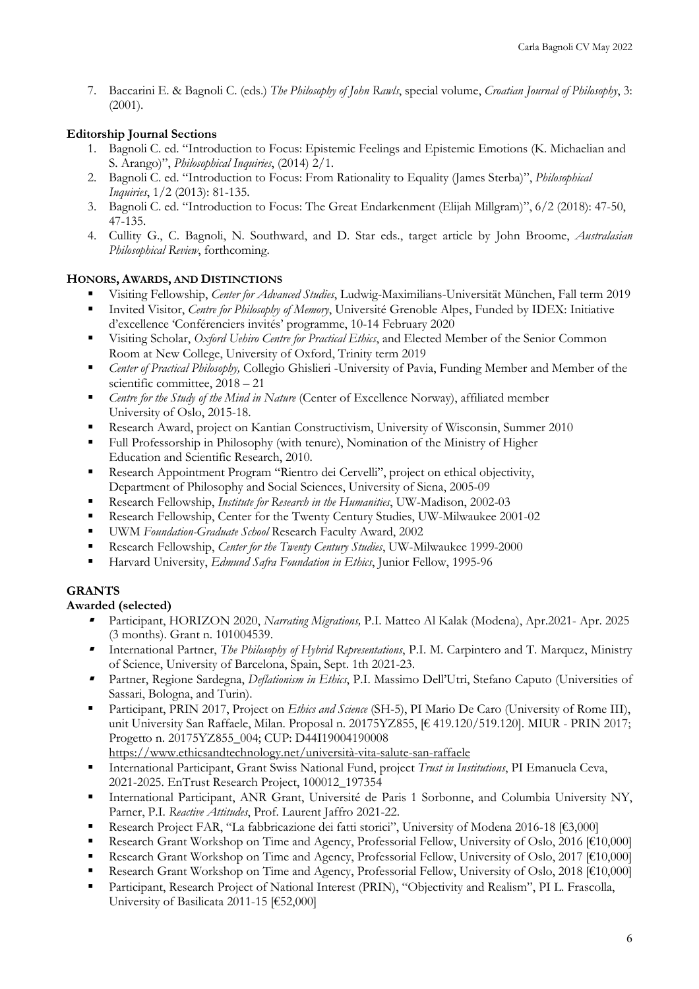7. Baccarini E. & Bagnoli C. (eds.) *The Philosophy of John Rawls*, special volume, *Croatian Journal of Philosophy*, 3: (2001).

# **Editorship Journal Sections**

- 1. Bagnoli C. ed. "Introduction to Focus: Epistemic Feelings and Epistemic Emotions (K. Michaelian and S. Arango)", *Philosophical Inquiries*, (2014) 2/1.
- 2. Bagnoli C. ed. "Introduction to Focus: From Rationality to Equality (James Sterba)", *Philosophical Inquiries*, 1/2 (2013): 81-135.
- 3. Bagnoli C. ed. "Introduction to Focus: The Great Endarkenment (Elijah Millgram)", 6/2 (2018): 47-50, 47-135.
- 4. Cullity G., C. Bagnoli, N. Southward, and D. Star eds., target article by John Broome, *Australasian Philosophical Review*, forthcoming.

## **HONORS, AWARDS, AND DISTINCTIONS**

- § Visiting Fellowship, *Center for Advanced Studies*, Ludwig-Maximilians-Universität München, Fall term 2019
- § Invited Visitor, *Centre for Philosophy of Memory*, Université Grenoble Alpes, Funded by IDEX: Initiative d'excellence 'Conférenciers invités' programme, 10-14 February 2020
- § Visiting Scholar, *Oxford Uehiro Centre for Practical Ethics*, and Elected Member of the Senior Common Room at New College, University of Oxford, Trinity term 2019
- § *Center of Practical Philosophy,* Collegio Ghislieri -University of Pavia, Funding Member and Member of the scientific committee, 2018 – 21
- § *Centre for the Study of the Mind in Nature* (Center of Excellence Norway), affiliated member University of Oslo, 2015-18.
- Research Award, project on Kantian Constructivism, University of Wisconsin, Summer 2010
- Full Professorship in Philosophy (with tenure), Nomination of the Ministry of Higher Education and Scientific Research, 2010.
- § Research Appointment Program "Rientro dei Cervelli", project on ethical objectivity, Department of Philosophy and Social Sciences, University of Siena, 2005-09
- § Research Fellowship, *Institute for Research in the Humanities*, UW-Madison, 2002-03
- Research Fellowship, Center for the Twenty Century Studies, UW-Milwaukee 2001-02
- § UWM *Foundation-Graduate School* Research Faculty Award, 2002
- Research Fellowship, *Center for the Twenty Century Studies*, UW-Milwaukee 1999-2000
- Harvard University, *Edmund Safra Foundation in Ethics*, Junior Fellow, 1995-96

## **GRANTS**

## **Awarded (selected)**

- § Participant, HORIZON 2020, *Narrating Migrations,* P.I. Matteo Al Kalak (Modena), Apr.2021- Apr. 2025 (3 months). Grant n. 101004539.
- § International Partner, *The Philosophy of Hybrid Representations*, P.I. M. Carpintero and T. Marquez, Ministry of Science, University of Barcelona, Spain, Sept. 1th 2021-23.
- § Partner, Regione Sardegna, *Deflationism in Ethics*, P.I. Massimo Dell'Utri, Stefano Caputo (Universities of Sassari, Bologna, and Turin).
- § Participant, PRIN 2017, Project on *Ethics and Science* (SH-5), PI Mario De Caro (University of Rome III), unit University San Raffaele, Milan. Proposal n. 20175YZ855, [€ 419.120/519.120]. MIUR - PRIN 2017; Progetto n. 20175YZ855\_004; CUP: D44I19004190008 https://www.ethicsandtechnology.net/università-vita-salute-san-raffaele
- § International Participant, Grant Swiss National Fund, project *Trust in Institutions*, PI Emanuela Ceva, 2021-2025. EnTrust Research Project, 100012\_197354
- International Participant, ANR Grant, Université de Paris 1 Sorbonne, and Columbia University NY, Parner, P.I. *Reactive Attitudes*, Prof. Laurent Jaffro 2021-22.
- § Research Project FAR, "La fabbricazione dei fatti storici", University of Modena 2016-18 [€3,000]
- Research Grant Workshop on Time and Agency, Professorial Fellow, University of Oslo, 2016 [€10,000]
- Research Grant Workshop on Time and Agency, Professorial Fellow, University of Oslo, 2017 [€10,000]
- § Research Grant Workshop on Time and Agency, Professorial Fellow, University of Oslo, 2018 [€10,000]
- Participant, Research Project of National Interest (PRIN), "Objectivity and Realism", PI L. Frascolla, University of Basilicata 2011-15 [€52,000]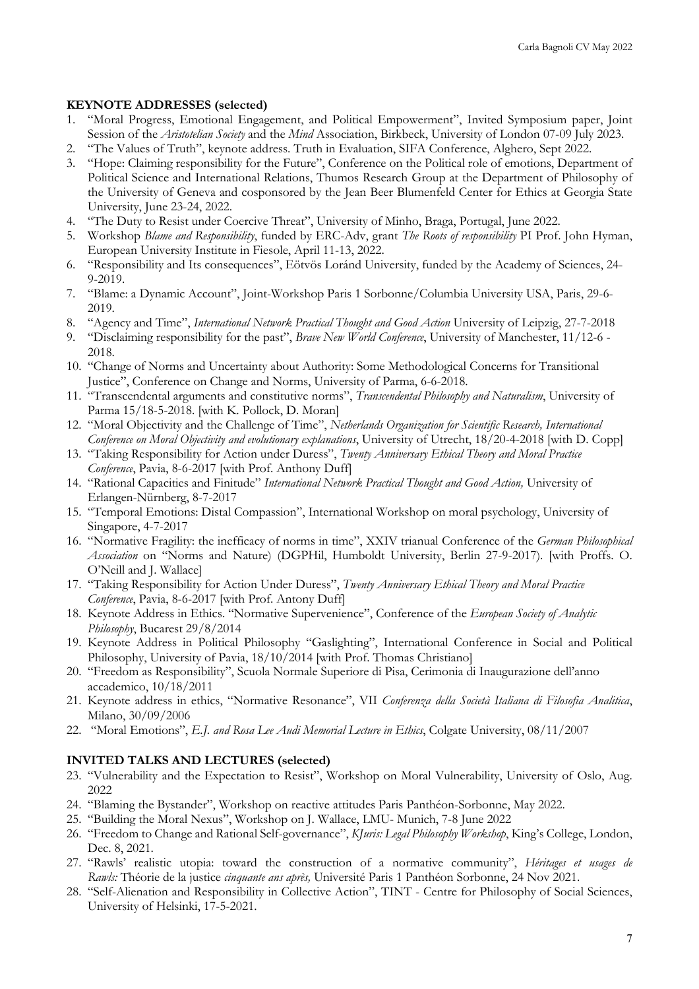### **KEYNOTE ADDRESSES (selected)**

- 1. "Moral Progress, Emotional Engagement, and Political Empowerment", Invited Symposium paper, Joint Session of the *Aristotelian Society* and the *Mind* Association, Birkbeck, University of London 07-09 July 2023.
- 2. "The Values of Truth", keynote address. Truth in Evaluation, SIFA Conference, Alghero, Sept 2022.
- 3. "Hope: Claiming responsibility for the Future", Conference on the Political role of emotions, Department of Political Science and International Relations, Thumos Research Group at the Department of Philosophy of the University of Geneva and cosponsored by the Jean Beer Blumenfeld Center for Ethics at Georgia State University, June 23-24, 2022.
- 4. "The Duty to Resist under Coercive Threat", University of Minho, Braga, Portugal, June 2022.
- 5. Workshop *Blame and Responsibility*, funded by ERC-Adv, grant *The Roots of responsibility* PI Prof. John Hyman, European University Institute in Fiesole, April 11-13, 2022.
- 6. "Responsibility and Its consequences", Eötvös Loránd University, funded by the Academy of Sciences, 24- 9-2019.
- 7. "Blame: a Dynamic Account", Joint-Workshop Paris 1 Sorbonne/Columbia University USA, Paris, 29-6- 2019.
- 8. "Agency and Time", *International Network Practical Thought and Good Action* University of Leipzig, 27-7-2018
- 9. "Disclaiming responsibility for the past", *Brave New World Conference*, University of Manchester, 11/12-6 2018.
- 10. "Change of Norms and Uncertainty about Authority: Some Methodological Concerns for Transitional Justice", Conference on Change and Norms, University of Parma, 6-6-2018.
- 11. "Transcendental arguments and constitutive norms", *Transcendental Philosophy and Naturalism*, University of Parma 15/18-5-2018. [with K. Pollock, D. Moran]
- 12. "Moral Objectivity and the Challenge of Time", *Netherlands Organization for Scientific Research, International Conference on Moral Objectivity and evolutionary explanations*, University of Utrecht, 18/20-4-2018 [with D. Copp]
- 13. "Taking Responsibility for Action under Duress", *Twenty Anniversary Ethical Theory and Moral Practice Conference*, Pavia, 8-6-2017 [with Prof. Anthony Duff]
- 14. "Rational Capacities and Finitude" *International Network Practical Thought and Good Action,* University of Erlangen-Nürnberg, 8-7-2017
- 15. "Temporal Emotions: Distal Compassion", International Workshop on moral psychology, University of Singapore, 4-7-2017
- 16. "Normative Fragility: the inefficacy of norms in time", XXIV trianual Conference of the *German Philosophical Association* on "Norms and Nature) (DGPHil, Humboldt University, Berlin 27-9-2017). [with Proffs. O. O'Neill and J. Wallace]
- 17. "Taking Responsibility for Action Under Duress", *Twenty Anniversary Ethical Theory and Moral Practice Conference*, Pavia, 8-6-2017 [with Prof. Antony Duff]
- 18. Keynote Address in Ethics. "Normative Supervenience", Conference of the *European Society of Analytic Philosophy*, Bucarest 29/8/2014
- 19. Keynote Address in Political Philosophy "Gaslighting", International Conference in Social and Political Philosophy, University of Pavia, 18/10/2014 [with Prof. Thomas Christiano]
- 20. "Freedom as Responsibility", Scuola Normale Superiore di Pisa, Cerimonia di Inaugurazione dell'anno accademico, 10/18/2011
- 21. Keynote address in ethics, "Normative Resonance", VII *Conferenza della Società Italiana di Filosofia Analitica*, Milano, 30/09/2006
- 22. "Moral Emotions", *E.J. and Rosa Lee Audi Memorial Lecture in Ethics*, Colgate University, 08/11/2007

## **INVITED TALKS AND LECTURES (selected)**

- 23. "Vulnerability and the Expectation to Resist", Workshop on Moral Vulnerability, University of Oslo, Aug. 2022
- 24. "Blaming the Bystander", Workshop on reactive attitudes Paris Panthéon-Sorbonne, May 2022.
- 25. "Building the Moral Nexus", Workshop on J. Wallace, LMU- Munich, 7-8 June 2022
- 26. "Freedom to Change and Rational Self-governance", *KJuris: Legal Philosophy Workshop*, King's College, London, Dec. 8, 2021.
- 27. "Rawls' realistic utopia: toward the construction of a normative community", *Héritages et usages de Rawls:* Théorie de la justice *cinquante ans après,* Université Paris 1 Panthéon Sorbonne, 24 Nov 2021.
- 28. "Self-Alienation and Responsibility in Collective Action", TINT Centre for Philosophy of Social Sciences, University of Helsinki, 17-5-2021.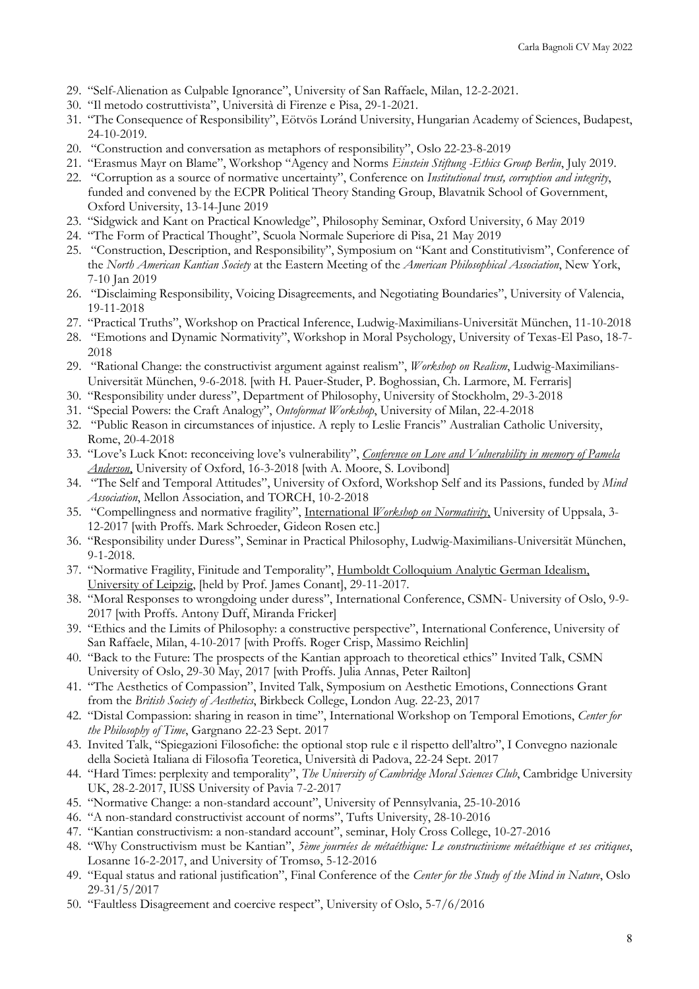- 29. "Self-Alienation as Culpable Ignorance", University of San Raffaele, Milan, 12-2-2021.
- 30. "Il metodo costruttivista", Università di Firenze e Pisa, 29-1-2021.
- 31. "The Consequence of Responsibility", Eötvös Loránd University, Hungarian Academy of Sciences, Budapest, 24-10-2019.
- 20. "Construction and conversation as metaphors of responsibility", Oslo 22-23-8-2019
- 21. "Erasmus Mayr on Blame", Workshop "Agency and Norms *Einstein Stiftung -Ethics Group Berlin*, July 2019.
- 22. "Corruption as a source of normative uncertainty", Conference on *Institutional trust, corruption and integrity*, funded and convened by the ECPR Political Theory Standing Group, Blavatnik School of Government, Oxford University, 13-14-June 2019
- 23. "Sidgwick and Kant on Practical Knowledge", Philosophy Seminar, Oxford University, 6 May 2019
- 24. "The Form of Practical Thought", Scuola Normale Superiore di Pisa, 21 May 2019
- 25. "Construction, Description, and Responsibility", Symposium on "Kant and Constitutivism", Conference of the *North American Kantian Society* at the Eastern Meeting of the *American Philosophical Association*, New York, 7-10 Jan 2019
- 26. "Disclaiming Responsibility, Voicing Disagreements, and Negotiating Boundaries", University of Valencia, 19-11-2018
- 27. "Practical Truths", Workshop on Practical Inference, Ludwig-Maximilians-Universität München, 11-10-2018
- 28. "Emotions and Dynamic Normativity", Workshop in Moral Psychology, University of Texas-El Paso, 18-7- 2018
- 29. "Rational Change: the constructivist argument against realism", *Workshop on Realism*, Ludwig-Maximilians-Universität München, 9-6-2018. [with H. Pauer-Studer, P. Boghossian, Ch. Larmore, M. Ferraris]
- 30. "Responsibility under duress", Department of Philosophy, University of Stockholm, 29-3-2018
- 31. "Special Powers: the Craft Analogy", *Ontoformat Workshop*, University of Milan, 22-4-2018
- 32. "Public Reason in circumstances of injustice. A reply to Leslie Francis" Australian Catholic University, Rome, 20-4-2018
- 33. "Love's Luck Knot: reconceiving love's vulnerability", *Conference on Love and Vulnerability in memory of Pamela Anderson*, University of Oxford, 16-3-2018 [with A. Moore, S. Lovibond]
- 34. "The Self and Temporal Attitudes", University of Oxford, Workshop Self and its Passions, funded by *Mind Association*, Mellon Association, and TORCH, 10-2-2018
- 35. "Compellingness and normative fragility", International *Workshop on Normativity*, University of Uppsala, 3- 12-2017 [with Proffs. Mark Schroeder, Gideon Rosen etc.]
- 36. "Responsibility under Duress", Seminar in Practical Philosophy, Ludwig-Maximilians-Universität München, 9-1-2018.
- 37. "Normative Fragility, Finitude and Temporality", Humboldt Colloquium Analytic German Idealism, University of Leipzig, [held by Prof. James Conant], 29-11-2017.
- 38. "Moral Responses to wrongdoing under duress", International Conference, CSMN- University of Oslo, 9-9- 2017 [with Proffs. Antony Duff, Miranda Fricker]
- 39. "Ethics and the Limits of Philosophy: a constructive perspective", International Conference, University of San Raffaele, Milan, 4-10-2017 [with Proffs. Roger Crisp, Massimo Reichlin]
- 40. "Back to the Future: The prospects of the Kantian approach to theoretical ethics" Invited Talk, CSMN University of Oslo, 29-30 May, 2017 [with Proffs. Julia Annas, Peter Railton]
- 41. "The Aesthetics of Compassion", Invited Talk, Symposium on Aesthetic Emotions, Connections Grant from the *British Society of Aesthetics*, Birkbeck College, London Aug. 22-23, 2017
- 42. "Distal Compassion: sharing in reason in time", International Workshop on Temporal Emotions, *Center for the Philosophy of Time*, Gargnano 22-23 Sept. 2017
- 43. Invited Talk, "Spiegazioni Filosofiche: the optional stop rule e il rispetto dell'altro", I Convegno nazionale della Società Italiana di Filosofia Teoretica, Università di Padova, 22-24 Sept. 2017
- 44. "Hard Times: perplexity and temporality", *The University of Cambridge Moral Sciences Club*, Cambridge University UK, 28-2-2017, IUSS University of Pavia 7-2-2017
- 45. "Normative Change: a non-standard account", University of Pennsylvania, 25-10-2016
- 46. "A non-standard constructivist account of norms", Tufts University, 28-10-2016
- 47. "Kantian constructivism: a non-standard account", seminar, Holy Cross College, 10-27-2016
- 48. "Why Constructivism must be Kantian", *5ème journées de métaéthique: Le constructivisme métaéthique et ses critiques*, Losanne 16-2-2017, and University of Tromsø, 5-12-2016
- 49. "Equal status and rational justification", Final Conference of the *Center for the Study of the Mind in Nature*, Oslo 29-31/5/2017
- 50. "Faultless Disagreement and coercive respect", University of Oslo, 5-7/6/2016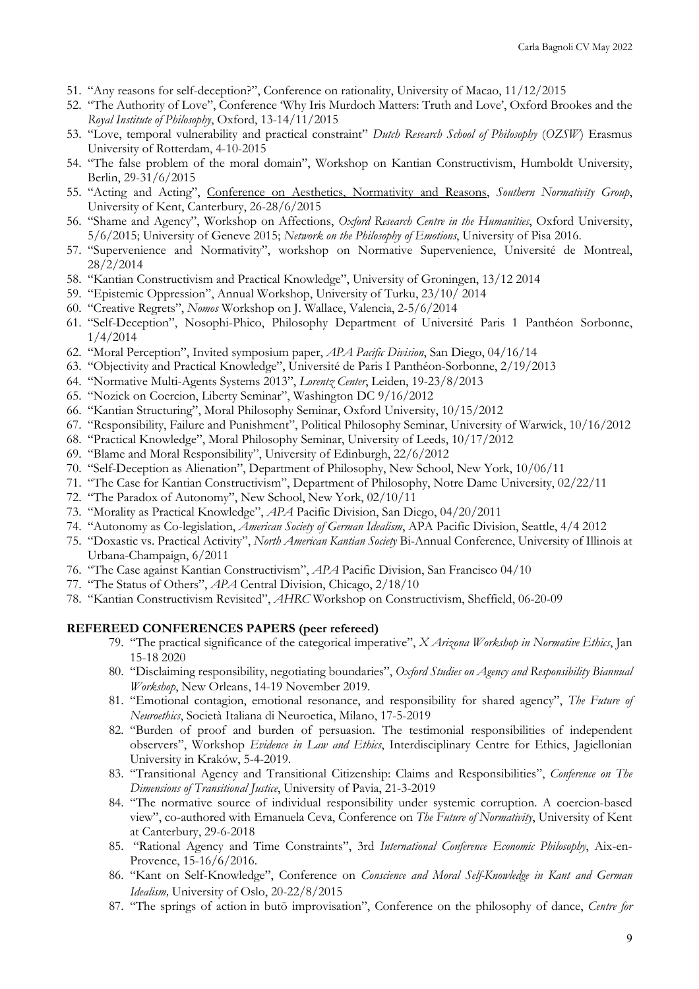- 51. "Any reasons for self-deception?", Conference on rationality, University of Macao, 11/12/2015
- 52. "The Authority of Love", Conference 'Why Iris Murdoch Matters: Truth and Love', Oxford Brookes and the *Royal Institute of Philosophy*, Oxford, 13-14/11/2015
- 53. "Love, temporal vulnerability and practical constraint" *Dutch Research School of Philosophy* (*OZSW*) Erasmus University of Rotterdam, 4-10-2015
- 54. "The false problem of the moral domain", Workshop on Kantian Constructivism, Humboldt University, Berlin, 29-31/6/2015
- 55. "Acting and Acting", Conference on Aesthetics, Normativity and Reasons, *Southern Normativity Group*, University of Kent, Canterbury, 26-28/6/2015
- 56. "Shame and Agency", Workshop on Affections, *Oxford Research Centre in the Humanities*, Oxford University, 5/6/2015; University of Geneve 2015; *Network on the Philosophy of Emotions*, University of Pisa 2016.
- 57. "Supervenience and Normativity", workshop on Normative Supervenience, Université de Montreal, 28/2/2014
- 58. "Kantian Constructivism and Practical Knowledge", University of Groningen, 13/12 2014
- 59. "Epistemic Oppression", Annual Workshop, University of Turku, 23/10/ 2014
- 60. "Creative Regrets", *Nomos* Workshop on J. Wallace, Valencia, 2-5/6/2014
- 61. "Self-Deception", Nosophi-Phico, Philosophy Department of Université Paris 1 Panthéon Sorbonne, 1/4/2014
- 62. "Moral Perception", Invited symposium paper, *APA Pacific Division*, San Diego, 04/16/14
- 63. "Objectivity and Practical Knowledge", Université de Paris I Panthéon-Sorbonne, 2/19/2013
- 64. "Normative Multi-Agents Systems 2013", *Lorentz Center*, Leiden, 19-23/8/2013
- 65. "Nozick on Coercion, Liberty Seminar", Washington DC 9/16/2012
- 66. "Kantian Structuring", Moral Philosophy Seminar, Oxford University, 10/15/2012
- 67. "Responsibility, Failure and Punishment", Political Philosophy Seminar, University of Warwick, 10/16/2012
- 68. "Practical Knowledge", Moral Philosophy Seminar, University of Leeds, 10/17/2012
- 69. "Blame and Moral Responsibility", University of Edinburgh, 22/6/2012
- 70. "Self-Deception as Alienation", Department of Philosophy, New School, New York, 10/06/11
- 71. "The Case for Kantian Constructivism", Department of Philosophy, Notre Dame University, 02/22/11
- 72. "The Paradox of Autonomy", New School, New York, 02/10/11
- 73. "Morality as Practical Knowledge", *APA* Pacific Division, San Diego, 04/20/2011
- 74. "Autonomy as Co-legislation, *American Society of German Idealism*, APA Pacific Division, Seattle, 4/4 2012
- 75. "Doxastic vs. Practical Activity", *North American Kantian Society* Bi-Annual Conference, University of Illinois at Urbana-Champaign, 6/2011
- 76. "The Case against Kantian Constructivism", *APA* Pacific Division, San Francisco 04/10
- 77. "The Status of Others", *APA* Central Division, Chicago, 2/18/10
- 78. "Kantian Constructivism Revisited", *AHRC* Workshop on Constructivism, Sheffield, 06-20-09

#### **REFEREED CONFERENCES PAPERS (peer refereed)**

- 79. "The practical significance of the categorical imperative", *X Arizona Workshop in Normative Ethics*, Jan 15-18 2020
- 80. "Disclaiming responsibility, negotiating boundaries", *Oxford Studies on Agency and Responsibility Biannual Workshop*, New Orleans, 14-19 November 2019.
- 81. "Emotional contagion, emotional resonance, and responsibility for shared agency", *The Future of Neuroethics*, Società Italiana di Neuroetica, Milano, 17-5-2019
- 82. "Burden of proof and burden of persuasion. The testimonial responsibilities of independent observers", Workshop *Evidence in Law and Ethics*, Interdisciplinary Centre for Ethics, Jagiellonian University in Kraków, 5-4-2019.
- 83. "Transitional Agency and Transitional Citizenship: Claims and Responsibilities", *Conference on The Dimensions of Transitional Justice*, University of Pavia, 21-3-2019
- 84. "The normative source of individual responsibility under systemic corruption. A coercion-based view", co-authored with Emanuela Ceva, Conference on *The Future of Normativity*, University of Kent at Canterbury, 29-6-2018
- 85. "Rational Agency and Time Constraints", 3rd *International Conference Economic Philosophy*, Aix-en-Provence, 15-16/6/2016.
- 86. "Kant on Self-Knowledge", Conference on *Conscience and Moral Self-Knowledge in Kant and German Idealism,* University of Oslo, 20-22/8/2015
- 87. "The springs of action in butō improvisation", Conference on the philosophy of dance, *Centre for*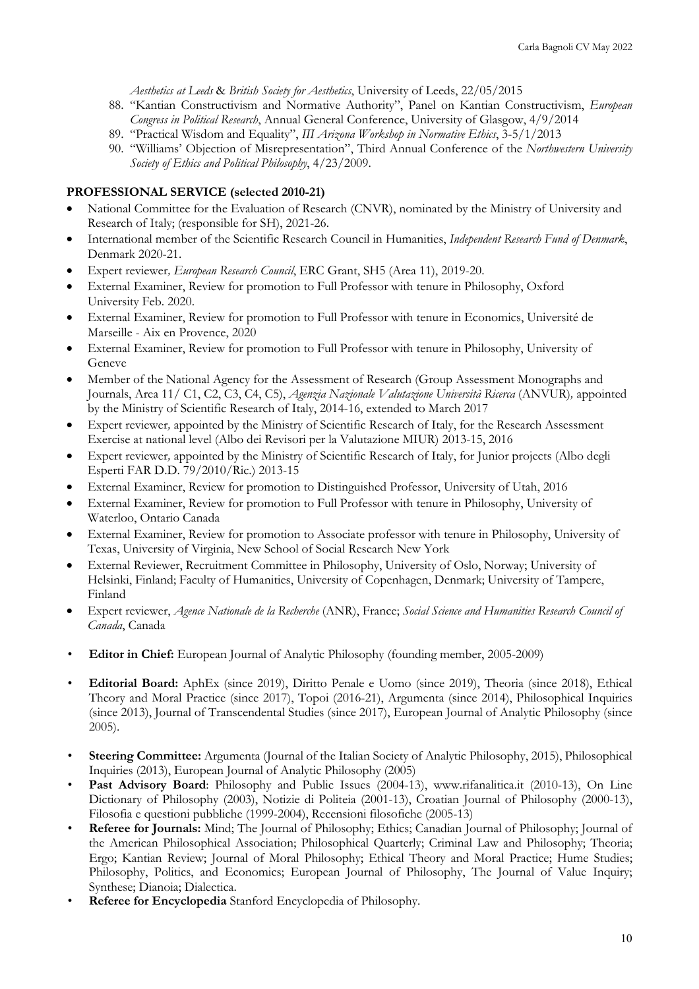*Aesthetics at Leeds* & *British Society for Aesthetics*, University of Leeds, 22/05/2015

- 88. "Kantian Constructivism and Normative Authority", Panel on Kantian Constructivism, *European Congress in Political Research*, Annual General Conference, University of Glasgow, 4/9/2014
- 89. "Practical Wisdom and Equality", *III Arizona Workshop in Normative Ethics*, 3-5/1/2013
- 90. "Williams' Objection of Misrepresentation", Third Annual Conference of the *Northwestern University Society of Ethics and Political Philosophy*, 4/23/2009.

#### **PROFESSIONAL SERVICE (selected 2010-21)**

- National Committee for the Evaluation of Research (CNVR), nominated by the Ministry of University and Research of Italy; (responsible for SH), 2021-26.
- International member of the Scientific Research Council in Humanities, *Independent Research Fund of Denmark*, Denmark 2020-21.
- Expert reviewer*, European Research Council*, ERC Grant, SH5 (Area 11), 2019-20.
- External Examiner, Review for promotion to Full Professor with tenure in Philosophy, Oxford University Feb. 2020.
- External Examiner, Review for promotion to Full Professor with tenure in Economics, Université de Marseille - Aix en Provence, 2020
- External Examiner, Review for promotion to Full Professor with tenure in Philosophy, University of Geneve
- Member of the National Agency for the Assessment of Research (Group Assessment Monographs and Journals, Area 11/ C1, C2, C3, C4, C5), *Agenzia Nazionale Valutazione Università Ricerca* (ANVUR)*,* appointed by the Ministry of Scientific Research of Italy, 2014-16, extended to March 2017
- Expert reviewer*,* appointed by the Ministry of Scientific Research of Italy, for the Research Assessment Exercise at national level (Albo dei Revisori per la Valutazione MIUR) 2013-15, 2016
- Expert reviewer*,* appointed by the Ministry of Scientific Research of Italy, for Junior projects (Albo degli Esperti FAR D.D. 79/2010/Ric.) 2013-15
- External Examiner, Review for promotion to Distinguished Professor, University of Utah, 2016
- External Examiner, Review for promotion to Full Professor with tenure in Philosophy, University of Waterloo, Ontario Canada
- External Examiner, Review for promotion to Associate professor with tenure in Philosophy, University of Texas, University of Virginia, New School of Social Research New York
- External Reviewer, Recruitment Committee in Philosophy, University of Oslo, Norway; University of Helsinki, Finland; Faculty of Humanities, University of Copenhagen, Denmark; University of Tampere, Finland
- Expert reviewer, *Agence Nationale de la Recherche* (ANR), France; *Social Science and Humanities Research Council of Canada*, Canada
- **Editor in Chief:** European Journal of Analytic Philosophy (founding member, 2005-2009)
- **Editorial Board:** AphEx (since 2019), Diritto Penale e Uomo (since 2019), Theoria (since 2018), Ethical Theory and Moral Practice (since 2017), Topoi (2016-21), Argumenta (since 2014), Philosophical Inquiries (since 2013), Journal of Transcendental Studies (since 2017), European Journal of Analytic Philosophy (since 2005).
- **Steering Committee:** Argumenta (Journal of the Italian Society of Analytic Philosophy, 2015), Philosophical Inquiries (2013), European Journal of Analytic Philosophy (2005)
- Past Advisory Board: Philosophy and Public Issues (2004-13), www.rifanalitica.it (2010-13), On Line Dictionary of Philosophy (2003), Notizie di Politeia (2001-13), Croatian Journal of Philosophy (2000-13), Filosofia e questioni pubbliche (1999-2004), Recensioni filosofiche (2005-13)
- **Referee for Journals:** Mind; The Journal of Philosophy; Ethics; Canadian Journal of Philosophy; Journal of the American Philosophical Association; Philosophical Quarterly; Criminal Law and Philosophy; Theoria; Ergo; Kantian Review; Journal of Moral Philosophy; Ethical Theory and Moral Practice; Hume Studies; Philosophy, Politics, and Economics; European Journal of Philosophy, The Journal of Value Inquiry; Synthese; Dianoia; Dialectica.
- **Referee for Encyclopedia** Stanford Encyclopedia of Philosophy.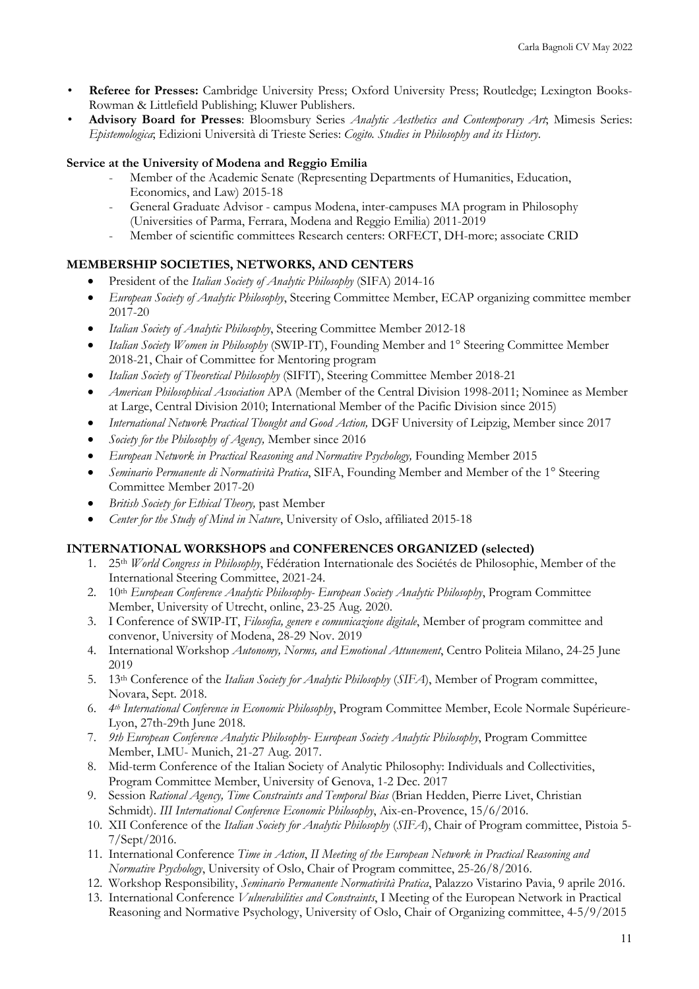- **Referee for Presses:** Cambridge University Press; Oxford University Press; Routledge; Lexington Books-Rowman & Littlefield Publishing; Kluwer Publishers.
- **Advisory Board for Presses**: Bloomsbury Series *Analytic Aesthetics and Contemporary Art*; Mimesis Series: *Epistemologica*; Edizioni Università di Trieste Series: *Cogito. Studies in Philosophy and its History*.

## **Service at the University of Modena and Reggio Emilia**

- Member of the Academic Senate (Representing Departments of Humanities, Education, Economics, and Law) 2015-18
- General Graduate Advisor campus Modena, inter-campuses MA program in Philosophy (Universities of Parma, Ferrara, Modena and Reggio Emilia) 2011-2019
- Member of scientific committees Research centers: ORFECT, DH-more; associate CRID

# **MEMBERSHIP SOCIETIES, NETWORKS, AND CENTERS**

- President of the *Italian Society of Analytic Philosophy* (SIFA) 2014-16
- *European Society of Analytic Philosophy*, Steering Committee Member, ECAP organizing committee member 2017-20
- *Italian Society of Analytic Philosophy*, Steering Committee Member 2012-18
- *Italian Society Women in Philosophy* (SWIP-IT), Founding Member and 1° Steering Committee Member 2018-21, Chair of Committee for Mentoring program
- *Italian Society of Theoretical Philosophy* (SIFIT), Steering Committee Member 2018-21
- *American Philosophical Association* APA (Member of the Central Division 1998-2011; Nominee as Member at Large, Central Division 2010; International Member of the Pacific Division since 2015)
- *International Network Practical Thought and Good Action,* DGF University of Leipzig, Member since 2017
- *Society for the Philosophy of Agency,* Member since 2016
- *European Network in Practical Reasoning and Normative Psychology, Founding Member 2015*
- *Seminario Permanente di Normatività Pratica*, SIFA, Founding Member and Member of the 1° Steering Committee Member 2017-20
- *British Society for Ethical Theory,* past Member
- *Center for the Study of Mind in Nature*, University of Oslo, affiliated 2015-18

## **INTERNATIONAL WORKSHOPS and CONFERENCES ORGANIZED (selected)**

- 1. 25th *World Congress in Philosophy*, Fédération Internationale des Sociétés de Philosophie, Member of the International Steering Committee, 2021-24.
- 2. 10th *European Conference Analytic Philosophy- European Society Analytic Philosophy*, Program Committee Member, University of Utrecht, online, 23-25 Aug. 2020.
- 3. I Conference of SWIP-IT, *Filosofia, genere e comunicazione digitale*, Member of program committee and convenor, University of Modena, 28-29 Nov. 2019
- 4. International Workshop *Autonomy, Norms, and Emotional Attunement*, Centro Politeia Milano, 24-25 June 2019
- 5. 13th Conference of the *Italian Society for Analytic Philosophy* (*SIFA*), Member of Program committee, Novara, Sept. 2018.
- 6. *4th International Conference in Economic Philosophy*, Program Committee Member, Ecole Normale Supérieure-Lyon, 27th-29th June 2018.
- 7. *9th European Conference Analytic Philosophy- European Society Analytic Philosophy*, Program Committee Member, LMU- Munich, 21-27 Aug. 2017.
- 8. Mid-term Conference of the Italian Society of Analytic Philosophy: Individuals and Collectivities, Program Committee Member, University of Genova, 1-2 Dec. 2017
- 9. Session *Rational Agency, Time Constraints and Temporal Bias* (Brian Hedden, Pierre Livet, Christian Schmidt). *III International Conference Economic Philosophy*, Aix-en-Provence, 15/6/2016.
- 10. XII Conference of the *Italian Society for Analytic Philosophy* (*SIFA*), Chair of Program committee, Pistoia 5- 7/Sept/2016.
- 11. International Conference *Time in Action*, *II Meeting of the European Network in Practical Reasoning and Normative Psychology*, University of Oslo, Chair of Program committee, 25-26/8/2016.
- 12. Workshop Responsibility, *Seminario Permanente Normatività Pratica*, Palazzo Vistarino Pavia, 9 aprile 2016.
- 13. International Conference *Vulnerabilities and Constraints*, I Meeting of the European Network in Practical Reasoning and Normative Psychology, University of Oslo, Chair of Organizing committee, 4-5/9/2015